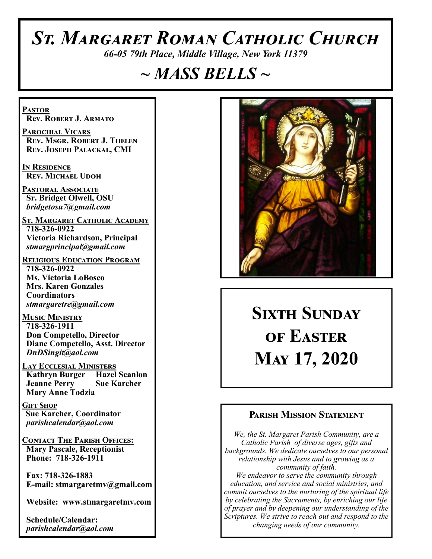# *St. Margaret Roman Catholic Church*

*66-05 79th Place, Middle Village, New York 11379*

## *~ MASS BELLS ~*

**Pastor Rev. Robert J. Armato**

**Parochial Vicars Rev. Msgr. Robert J. Thelen Rev. Joseph Palackal, CMI**

**In Residence Rev. Michael Udoh**

**Pastoral Associate Sr. Bridget Olwell, OSU**  *bridgetosu7@gmail.com*

**St. Margaret Catholic Academy 718-326-0922 Victoria Richardson, Principal**  *stmargprincipal@gmail.com*

**Religious Education Program 718-326-0922 Ms. Victoria LoBosco Mrs. Karen Gonzales Coordinators** *stmargaretre@gmail.com*

**Music Ministry 718-326-1911 Don Competello, Director Diane Competello, Asst. Director** *DnDSingit@aol.com*

**Lay Ecclesial Ministers Kathryn Burger Hazel Scanlon Jeanne Perry Sue Karcher Mary Anne Todzia**

**Gift Shop Sue Karcher, Coordinator** *parishcalendar@aol.com*

**Contact The Parish Offices: Mary Pascale, Receptionist Phone: 718-326-1911** 

 **Fax: 718-326-1883 E-mail: stmargaretmv@gmail.com**

 **Website: www.stmargaretmv.com**

 **Schedule/Calendar:** *parishcalendar@aol.com* 



**Sixth Sunday of Easter May 17, 2020** 

#### **Parish Mission Statement**

*We, the St. Margaret Parish Community, are a Catholic Parish of diverse ages, gifts and backgrounds. We dedicate ourselves to our personal relationship with Jesus and to growing as a community of faith. We endeavor to serve the community through education, and service and social ministries, and commit ourselves to the nurturing of the spiritual life by celebrating the Sacraments, by enriching our life of prayer and by deepening our understanding of the Scriptures. We strive to reach out and respond to the changing needs of our community.*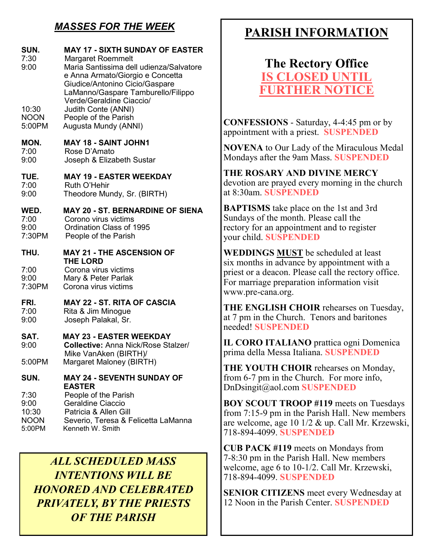### *MASSES FOR THE WEEK*

| SUN.<br>7:30<br>9:00<br>10:30<br><b>NOON</b><br>5:00PM | <b>MAY 17 - SIXTH SUNDAY OF EASTER</b><br><b>Margaret Roemmelt</b><br>Maria Santissima dell udienza/Salvatore<br>e Anna Armato/Giorgio e Concetta<br>Giudice/Antonino Cicio/Gaspare<br>LaManno/Gaspare Tamburello/Filippo<br>Verde/Geraldine Ciaccio/<br>Judith Conte (ANNI)<br>People of the Parish<br>Augusta Mundy (ANNI) |
|--------------------------------------------------------|------------------------------------------------------------------------------------------------------------------------------------------------------------------------------------------------------------------------------------------------------------------------------------------------------------------------------|
| MON.<br>7:00<br>9:00                                   | <b>MAY 18 - SAINT JOHN1</b><br>Rose D'Amato<br>Joseph & Elizabeth Sustar                                                                                                                                                                                                                                                     |
| TUE.<br>7:00<br>9:00                                   | <b>MAY 19 - EASTER WEEKDAY</b><br>Ruth O'Hehir<br>Theodore Mundy, Sr. (BIRTH)                                                                                                                                                                                                                                                |
| WED.<br>7:00<br>9:00<br>7:30PM                         | <b>MAY 20 - ST. BERNARDINE OF SIENA</b><br>Corono virus victims<br>Ordination Class of 1995<br>People of the Parish                                                                                                                                                                                                          |
|                                                        |                                                                                                                                                                                                                                                                                                                              |
| THU.                                                   | <b>MAY 21 - THE ASCENSION OF</b>                                                                                                                                                                                                                                                                                             |
| 7:00<br>9:00<br>7:30PM                                 | <b>THE LORD</b><br>Corona virus victims<br>Mary & Peter Parlak<br>Corona virus victims                                                                                                                                                                                                                                       |
| FRI.<br>7:00<br>9:00                                   | <b>MAY 22 - ST. RITA OF CASCIA</b><br>Rita & Jim Minogue<br>Joseph Palakal, Sr.                                                                                                                                                                                                                                              |
| SAT.<br>9:00                                           | <b>MAY 23 - EASTER WEEKDAY</b><br><b>Collective: Anna Nick/Rose Stalzer/</b>                                                                                                                                                                                                                                                 |
| 5:00PM                                                 | Mike VanAken (BIRTH)/<br>Margaret Maloney (BIRTH)                                                                                                                                                                                                                                                                            |
| SUN.                                                   | <b>MAY 24 - SEVENTH SUNDAY OF</b><br><b>EASTER</b>                                                                                                                                                                                                                                                                           |

*ALL SCHEDULED MASS INTENTIONS WILL BE HONORED AND CELEBRATED PRIVATELY, BY THE PRIESTS OF THE PARISH*

### **PARISH INFORMATION**

**The Rectory Office IS CLOSED UNT FURTHER NOTICE**

**CONFESSIONS** - Saturday, 4-4:45 pm or by appointment with a priest. **SUSPENDED**

**NOVENA** to Our Lady of the Miraculous Medal Mondays after the 9am Mass. **SUSPENDED**

**THE ROSARY AND DIVINE MERCY** devotion are prayed every morning in the church at 8:30am. **SUSPENDED**

**BAPTISMS** take place on the 1st and 3rd Sundays of the month. Please call the rectory for an appointment and to register your child. **SUSPENDED**

**WEDDINGS MUST** be scheduled at least six months in advance by appointment with a priest or a deacon. Please call the rectory office. For marriage preparation information visit www.pre-cana.org.

**THE ENGLISH CHOIR** rehearses on Tuesday, at 7 pm in the Church. Tenors and baritones needed! **SUSPENDED**

**IL CORO ITALIANO** prattica ogni Domenica prima della Messa Italiana. **SUSPENDED**

**THE YOUTH CHOIR** rehearses on Monday, from 6-7 pm in the Church. For more info, DnDsingit@aol.com **SUSPENDED**

**BOY SCOUT TROOP #119** meets on Tuesdays from 7:15-9 pm in the Parish Hall. New members are welcome, age 10 1/2 & up. Call Mr. Krzewski, 718-894-4099. **SUSPENDED**

**CUB PACK #119** meets on Mondays from 7-8:30 pm in the Parish Hall. New members welcome, age 6 to 10-1/2. Call Mr. Krzewski, 718-894-4099. **SUSPENDED**

**SENIOR CITIZENS** meet every Wednesday at 12 Noon in the Parish Center. **SUSPENDED**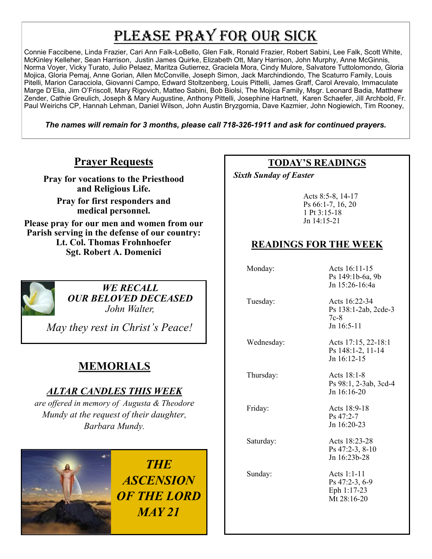## PLEASE PRAY FOR OUR SICK

Connie Faccibene, Linda Frazier, Cari Ann Falk-LoBello, Glen Falk, Ronald Frazier, Robert Sabini, Lee Falk, Scott White, McKinley Kelleher, Sean Harrison, Justin James Quirke, Elizabeth Ott, Mary Harrison, John Murphy, Anne McGinnis, Norma Voyer, Vicky Turato, Julio Pelaez, Maritza Gutierrez, Graciela Mora, Cindy Mulore, Salvatore Tuttolomondo, Gloria Mojica, Gloria Pemaj, Anne Gorian, Allen McConville, Joseph Simon, Jack Marchindiondo, The Scaturro Family, Louis Pitelli, Marion Caracciola, Giovanni Campo, Edward Stoltzenberg, Louis Pittelli, James Graff, Carol Arevalo, Immaculate Marge D'Elia, Jim O'Friscoll, Mary Rigovich, Matteo Sabini, Bob Biolsi, The Mojica Family, Msgr. Leonard Badia, Matthew Zender, Cathie Greulich, Joseph & Mary Augustine, Anthony Pittelli, Josephine Hartnett, Karen Schaefer, Jill Archbold, Fr. Paul Weirichs CP, Hannah Lehman, Daniel Wilson, John Austin Bryzgornia, Dave Kazmier, John Nogiewich, Tim Rooney,

*The names will remain for 3 months, please call 718-326-1911 and ask for continued prayers.*

#### **Prayer Requests**

**Pray for vocations to the Priesthood and Religious Life.** 

**Pray for first responders and medical personnel.**

**Please pray for our men and women from our Parish serving in the defense of our country: Lt. Col. Thomas Frohnhoefer Sgt. Robert A. Domenici** 



*WE RECALL OUR BELOVED DECEASED John Walter,* 

 *May they rest in Christ's Peace!*

### **MEMORIALS**

#### *ALTAR CANDLES THIS WEEK*

*are offered in memory of Augusta & Theodore Mundy at the request of their daughter, Barbara Mundy.* 



*THE ASCENSION OF THE LORD MAY 21*

#### **TODAY'S READINGS**

 *Sixth Sunday of Easter* 

Acts 8:5-8, 14-17 Ps 66:1-7, 16, 20 1 Pt 3:15-18 Jn 14:15-21

#### **READINGS FOR THE WEEK**

 Monday: Acts 16:11-15 Ps 149:1b-6a, 9b Jn 15:26-16:4a Tuesday: Acts 16:22-34 Ps 138:1-2ab, 2cde-3 7c-8 Jn 16:5-11 Wednesday: Acts 17:15, 22-18:1 Ps 148:1-2, 11-14 Jn 16:12-15 Thursday: Acts 18:1-8 Ps 98:1, 2-3ab, 3cd-4 Jn 16:16-20 Friday: Acts 18:9-18 Ps 47:2-7 Jn 16:20-23 Saturday: Acts 18:23-28 Ps 47:2-3, 8-10 Jn 16:23b-28 Sunday: Acts 1:1-11 Ps 47:2-3, 6-9 Eph 1:17-23 Mt 28:16-20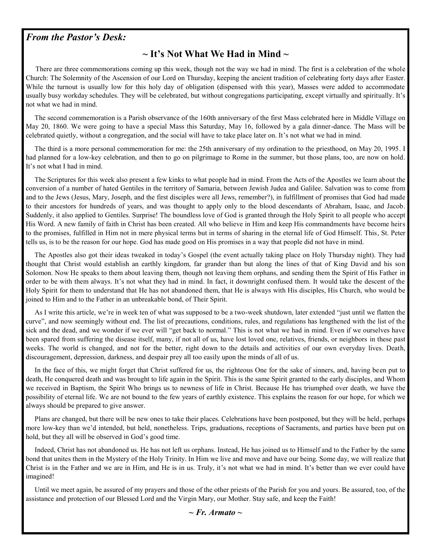#### *From the Pastor's Desk:*

#### **~ It's Not What We Had in Mind ~**

 There are three commemorations coming up this week, though not the way we had in mind. The first is a celebration of the whole Church: The Solemnity of the Ascension of our Lord on Thursday, keeping the ancient tradition of celebrating forty days after Easter. While the turnout is usually low for this holy day of obligation (dispensed with this year), Masses were added to accommodate usually busy workday schedules. They will be celebrated, but without congregations participating, except virtually and spiritually. It's not what we had in mind.

 The second commemoration is a Parish observance of the 160th anniversary of the first Mass celebrated here in Middle Village on May 20, 1860. We were going to have a special Mass this Saturday, May 16, followed by a gala dinner-dance. The Mass will be celebrated quietly, without a congregation, and the social will have to take place later on. It's not what we had in mind.

 The third is a more personal commemoration for me: the 25th anniversary of my ordination to the priesthood, on May 20, 1995. I had planned for a low-key celebration, and then to go on pilgrimage to Rome in the summer, but those plans, too, are now on hold. It's not what I had in mind.

 The Scriptures for this week also present a few kinks to what people had in mind. From the Acts of the Apostles we learn about the conversion of a number of hated Gentiles in the territory of Samaria, between Jewish Judea and Galilee. Salvation was to come from and to the Jews (Jesus, Mary, Joseph, and the first disciples were all Jews, remember?), in fulfillment of promises that God had made to their ancestors for hundreds of years, and was thought to apply only to the blood descendants of Abraham, Isaac, and Jacob. Suddenly, it also applied to Gentiles. Surprise! The boundless love of God is granted through the Holy Spirit to all people who accept His Word. A new family of faith in Christ has been created. All who believe in Him and keep His commandments have become heirs to the promises, fulfilled in Him not in mere physical terms but in terms of sharing in the eternal life of God Himself. This, St. Peter tells us, is to be the reason for our hope. God has made good on His promises in a way that people did not have in mind.

 The Apostles also got their ideas tweaked in today's Gospel (the event actually taking place on Holy Thursday night). They had thought that Christ would establish an earthly kingdom, far grander than but along the lines of that of King David and his son Solomon. Now He speaks to them about leaving them, though not leaving them orphans, and sending them the Spirit of His Father in order to be with them always. It's not what they had in mind. In fact, it downright confused them. It would take the descent of the Holy Spirit for them to understand that He has not abandoned them, that He is always with His disciples, His Church, who would be joined to Him and to the Father in an unbreakable bond, of Their Spirit.

 As I write this article, we're in week ten of what was supposed to be a two-week shutdown, later extended "just until we flatten the curve", and now seemingly without end. The list of precautions, conditions, rules, and regulations has lengthened with the list of the sick and the dead, and we wonder if we ever will "get back to normal." This is not what we had in mind. Even if we ourselves have been spared from suffering the disease itself, many, if not all of us, have lost loved one, relatives, friends, or neighbors in these past weeks. The world is changed, and not for the better, right down to the details and activities of our own everyday lives. Death, discouragement, depression, darkness, and despair prey all too easily upon the minds of all of us.

 In the face of this, we might forget that Christ suffered for us, the righteous One for the sake of sinners, and, having been put to death, He conquered death and was brought to life again in the Spirit. This is the same Spirit granted to the early disciples, and Whom we received in Baptism, the Spirit Who brings us to newness of life in Christ. Because He has triumphed over death, we have the possibility of eternal life. We are not bound to the few years of earthly existence. This explains the reason for our hope, for which we always should be prepared to give answer.

 Plans are changed, but there will be new ones to take their places. Celebrations have been postponed, but they will be held, perhaps more low-key than we'd intended, but held, nonetheless. Trips, graduations, receptions of Sacraments, and parties have been put on hold, but they all will be observed in God's good time.

 Indeed, Christ has not abandoned us. He has not left us orphans. Instead, He has joined us to Himself and to the Father by the same bond that unites them in the Mystery of the Holy Trinity. In Him we live and move and have our being. Some day, we will realize that Christ is in the Father and we are in Him, and He is in us. Truly, it's not what we had in mind. It's better than we ever could have imagined!

 Until we meet again, be assured of my prayers and those of the other priests of the Parish for you and yours. Be assured, too, of the assistance and protection of our Blessed Lord and the Virgin Mary, our Mother. Stay safe, and keep the Faith!

#### *~ Fr. Armato ~*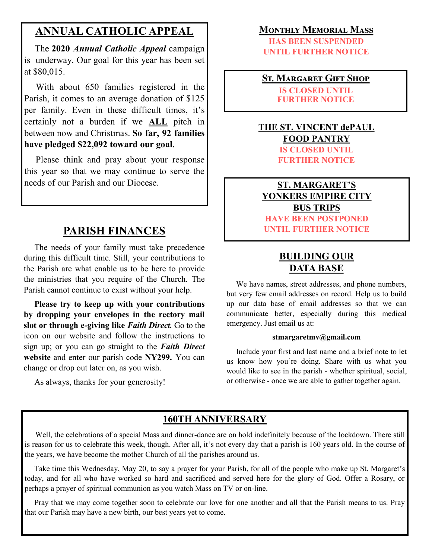#### **ANNUAL CATHOLIC APPEAL**

 The **2020** *Annual Catholic Appeal* campaign is underway. Our goal for this year has been set at \$80,015.

 With about 650 families registered in the Parish, it comes to an average donation of \$125 per family. Even in these difficult times, it's certainly not a burden if we **ALL** pitch in between now and Christmas. **So far, 92 families have pledged \$22,092 toward our goal.**

 Please think and pray about your response this year so that we may continue to serve the needs of our Parish and our Diocese.

#### **PARISH FINANCES**

 The needs of your family must take precedence during this difficult time. Still, your contributions to the Parish are what enable us to be here to provide the ministries that you require of the Church. The Parish cannot continue to exist without your help.

 **Please try to keep up with your contributions by dropping your envelopes in the rectory mail slot or through e-giving like** *Faith Direct.* Go to the icon on our website and follow the instructions to sign up; or you can go straight to the *Faith Direct*  **website** and enter our parish code **NY299.** You can change or drop out later on, as you wish.

As always, thanks for your generosity!

#### **Monthly Memorial Mass**

**HAS BEEN SUSPENDED UNTIL FURTHER NOTICE**

**St. Margaret Gift Shop IS CLOSED UNTIL FURTHER NOTICE**

#### **THE ST. VINCENT dePAUL FOOD PANTRY IS CLOSED UNTIL FURTHER NOTICE**

**ST. MARGARET'S YONKERS EMPIRE CITY BUS TRIPS HAVE BEEN POSTPONED UNTIL FURTHER NOTICE**

#### **BUILDING OUR DATA BASE**

 We have names, street addresses, and phone numbers, but very few email addresses on record. Help us to build up our data base of email addresses so that we can communicate better, especially during this medical emergency. Just email us at:

#### **stmargaretmv@gmail.com**

 Include your first and last name and a brief note to let us know how you're doing. Share with us what you would like to see in the parish - whether spiritual, social, or otherwise - once we are able to gather together again.

#### **160TH ANNIVERSARY**

 Well, the celebrations of a special Mass and dinner-dance are on hold indefinitely because of the lockdown. There still is reason for us to celebrate this week, though. After all, it's not every day that a parish is 160 years old. In the course of the years, we have become the mother Church of all the parishes around us.

 Take time this Wednesday, May 20, to say a prayer for your Parish, for all of the people who make up St. Margaret's today, and for all who have worked so hard and sacrificed and served here for the glory of God. Offer a Rosary, or perhaps a prayer of spiritual communion as you watch Mass on TV or on-line.

 Pray that we may come together soon to celebrate our love for one another and all that the Parish means to us. Pray that our Parish may have a new birth, our best years yet to come.